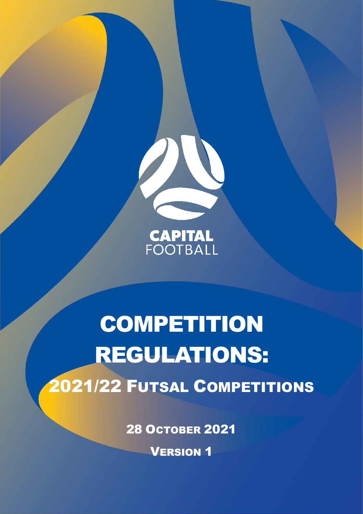

**CAPITAL**<br>FOOTBALL

# **COMPETITION** REGULATIONS: 2021/22 FUTSAL COMPETITIONS

28 OCTOBER 2021

VERSION 1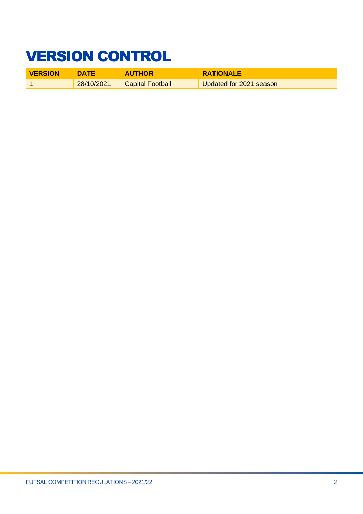### <span id="page-1-0"></span>VERSION CONTROL

| <b>VERSION</b> | <b>DATE</b> | <b>AUTHOR</b>    | <b>RATIONALE</b>        |
|----------------|-------------|------------------|-------------------------|
|                | 28/10/2021  | Capital Football | Updated for 2021 season |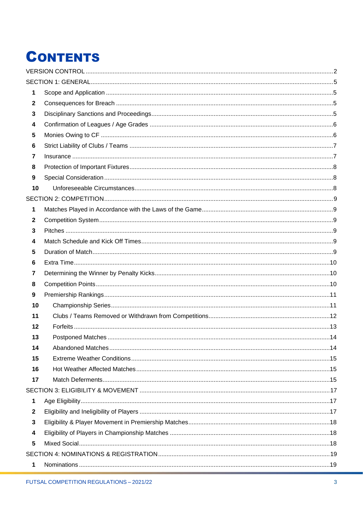### **CONTENTS**

| 1            |  |
|--------------|--|
| $\mathbf{2}$ |  |
| 3            |  |
| 4            |  |
| 5            |  |
| 6            |  |
| 7            |  |
| 8            |  |
| 9            |  |
| 10           |  |
|              |  |
| 1            |  |
| $\mathbf{2}$ |  |
| 3            |  |
| 4            |  |
| 5            |  |
| 6            |  |
| 7            |  |
| 8            |  |
| 9            |  |
| 10           |  |
| 11           |  |
| 12           |  |
| 13           |  |
| 14           |  |
| 15           |  |
| 16           |  |
| 17           |  |
|              |  |
| 1            |  |
| $\mathbf{2}$ |  |
| $\mathbf{3}$ |  |
| 4            |  |
| 5            |  |
|              |  |
| 1            |  |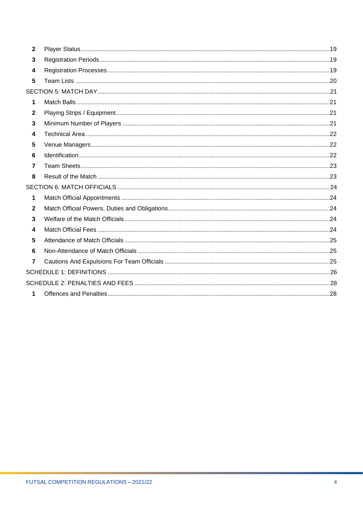| $\mathbf{2}$   |  |
|----------------|--|
| 3              |  |
| 4              |  |
| 5              |  |
|                |  |
| 1              |  |
| $\mathbf{2}$   |  |
| 3              |  |
| 4              |  |
| 5              |  |
| 6              |  |
| 7              |  |
| 8              |  |
|                |  |
| 1              |  |
| $\mathbf{2}$   |  |
| 3              |  |
| 4              |  |
| 5              |  |
| 6              |  |
| $\overline{7}$ |  |
|                |  |
|                |  |
| 1              |  |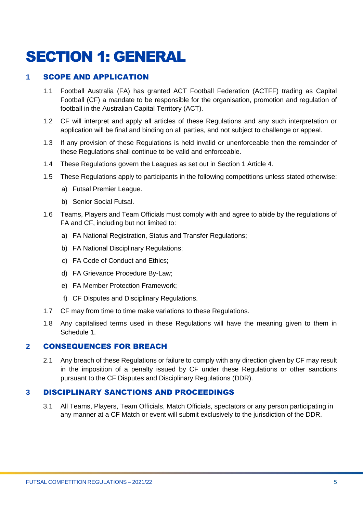### <span id="page-4-0"></span>SECTION 1: GENERAL

#### <span id="page-4-1"></span>**1** SCOPE AND APPLICATION

- 1.1 Football Australia (FA) has granted ACT Football Federation (ACTFF) trading as Capital Football (CF) a mandate to be responsible for the organisation, promotion and regulation of football in the Australian Capital Territory (ACT).
- 1.2 CF will interpret and apply all articles of these Regulations and any such interpretation or application will be final and binding on all parties, and not subject to challenge or appeal.
- 1.3 If any provision of these Regulations is held invalid or unenforceable then the remainder of these Regulations shall continue to be valid and enforceable.
- 1.4 These Regulations govern the Leagues as set out in Section 1 Article 4.
- 1.5 These Regulations apply to participants in the following competitions unless stated otherwise:
	- a) Futsal Premier League.
	- b) Senior Social Futsal.
- 1.6 Teams, Players and Team Officials must comply with and agree to abide by the regulations of FA and CF, including but not limited to:
	- a) FA National Registration, Status and Transfer Regulations;
	- b) FA National Disciplinary Regulations;
	- c) FA Code of Conduct and Ethics;
	- d) FA Grievance Procedure By-Law;
	- e) FA Member Protection Framework;
	- f) CF Disputes and Disciplinary Regulations.
- 1.7 CF may from time to time make variations to these Regulations.
- 1.8 Any capitalised terms used in these Regulations will have the meaning given to them in Schedule 1.

#### <span id="page-4-2"></span>**2** CONSEQUENCES FOR BREACH

2.1 Any breach of these Regulations or failure to comply with any direction given by CF may result in the imposition of a penalty issued by CF under these Regulations or other sanctions pursuant to the CF Disputes and Disciplinary Regulations (DDR).

#### <span id="page-4-3"></span>**3** DISCIPLINARY SANCTIONS AND PROCEEDINGS

3.1 All Teams, Players, Team Officials, Match Officials, spectators or any person participating in any manner at a CF Match or event will submit exclusively to the jurisdiction of the DDR.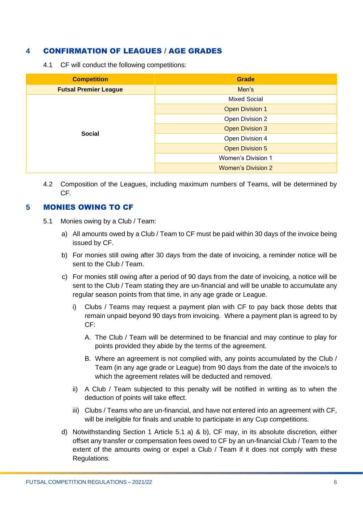#### <span id="page-5-0"></span>**4** CONFIRMATION OF LEAGUES / AGE GRADES

4.1 CF will conduct the following competitions:

| <b>Competition</b>           | <b>Grade</b>              |  |  |
|------------------------------|---------------------------|--|--|
| <b>Futsal Premier League</b> | Men's                     |  |  |
|                              | <b>Mixed Social</b>       |  |  |
|                              | <b>Open Division 1</b>    |  |  |
|                              | Open Division 2           |  |  |
| <b>Social</b>                | <b>Open Division 3</b>    |  |  |
|                              | Open Division 4           |  |  |
|                              | <b>Open Division 5</b>    |  |  |
|                              | Women's Division 1        |  |  |
|                              | <b>Women's Division 2</b> |  |  |

4.2 Composition of the Leagues, including maximum numbers of Teams, will be determined by CF.

#### <span id="page-5-1"></span>**5** MONIES OWING TO CF

- 5.1 Monies owing by a Club / Team:
	- a) All amounts owed by a Club / Team to CF must be paid within 30 days of the invoice being issued by CF.
	- b) For monies still owing after 30 days from the date of invoicing, a reminder notice will be sent to the Club / Team.
	- c) For monies still owing after a period of 90 days from the date of invoicing, a notice will be sent to the Club / Team stating they are un-financial and will be unable to accumulate any regular season points from that time, in any age grade or League.
		- i) Clubs / Teams may request a payment plan with CF to pay back those debts that remain unpaid beyond 90 days from invoicing. Where a payment plan is agreed to by CF:
			- A. The Club / Team will be determined to be financial and may continue to play for points provided they abide by the terms of the agreement.
			- B. Where an agreement is not complied with, any points accumulated by the Club / Team (in any age grade or League) from 90 days from the date of the invoice/s to which the agreement relates will be deducted and removed.
		- ii) A Club / Team subjected to this penalty will be notified in writing as to when the deduction of points will take effect.
		- iii) Clubs / Teams who are un-financial, and have not entered into an agreement with CF, will be ineligible for finals and unable to participate in any Cup competitions.
	- d) Notwithstanding Section 1 Article 5.1 a) & b), CF may, in its absolute discretion, either offset any transfer or compensation fees owed to CF by an un-financial Club / Team to the extent of the amounts owing or expel a Club / Team if it does not comply with these Regulations.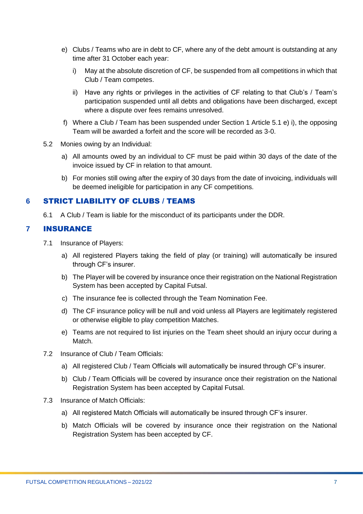- e) Clubs / Teams who are in debt to CF, where any of the debt amount is outstanding at any time after 31 October each year:
	- i) May at the absolute discretion of CF, be suspended from all competitions in which that Club / Team competes.
	- ii) Have any rights or privileges in the activities of CF relating to that Club's / Team's participation suspended until all debts and obligations have been discharged, except where a dispute over fees remains unresolved.
- f) Where a Club / Team has been suspended under Section 1 Article 5.1 e) i), the opposing Team will be awarded a forfeit and the score will be recorded as 3-0.
- 5.2 Monies owing by an Individual:
	- a) All amounts owed by an individual to CF must be paid within 30 days of the date of the invoice issued by CF in relation to that amount.
	- b) For monies still owing after the expiry of 30 days from the date of invoicing, individuals will be deemed ineligible for participation in any CF competitions.

#### <span id="page-6-0"></span>**6** STRICT LIABILITY OF CLUBS / TEAMS

6.1 A Club / Team is liable for the misconduct of its participants under the DDR.

#### <span id="page-6-1"></span>**7** INSURANCE

- 7.1 Insurance of Players:
	- a) All registered Players taking the field of play (or training) will automatically be insured through CF's insurer.
	- b) The Player will be covered by insurance once their registration on the National Registration System has been accepted by Capital Futsal.
	- c) The insurance fee is collected through the Team Nomination Fee.
	- d) The CF insurance policy will be null and void unless all Players are legitimately registered or otherwise eligible to play competition Matches.
	- e) Teams are not required to list injuries on the Team sheet should an injury occur during a Match.
- 7.2 Insurance of Club / Team Officials:
	- a) All registered Club / Team Officials will automatically be insured through CF's insurer.
	- b) Club / Team Officials will be covered by insurance once their registration on the National Registration System has been accepted by Capital Futsal.
- 7.3 Insurance of Match Officials:
	- a) All registered Match Officials will automatically be insured through CF's insurer.
	- b) Match Officials will be covered by insurance once their registration on the National Registration System has been accepted by CF.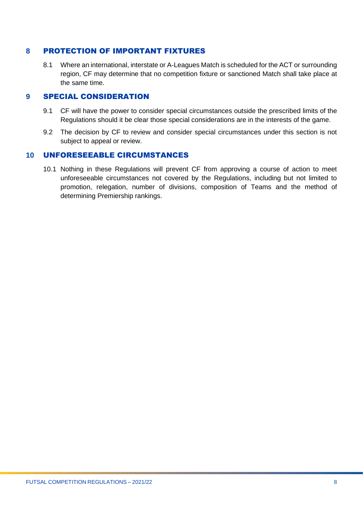#### <span id="page-7-0"></span>**8** PROTECTION OF IMPORTANT FIXTURES

8.1 Where an international, interstate or A-Leagues Match is scheduled for the ACT or surrounding region, CF may determine that no competition fixture or sanctioned Match shall take place at the same time.

#### <span id="page-7-1"></span>**9** SPECIAL CONSIDERATION

- 9.1 CF will have the power to consider special circumstances outside the prescribed limits of the Regulations should it be clear those special considerations are in the interests of the game.
- 9.2 The decision by CF to review and consider special circumstances under this section is not subject to appeal or review.

#### <span id="page-7-2"></span>**10** UNFORESEEABLE CIRCUMSTANCES

10.1 Nothing in these Regulations will prevent CF from approving a course of action to meet unforeseeable circumstances not covered by the Regulations, including but not limited to promotion, relegation, number of divisions, composition of Teams and the method of determining Premiership rankings.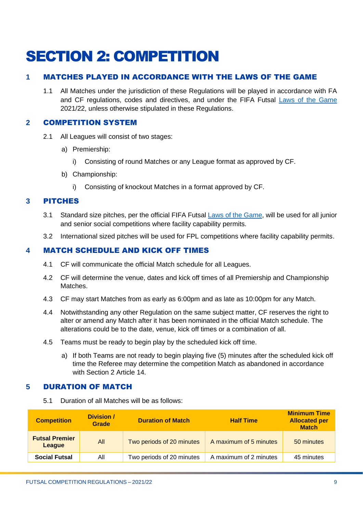### <span id="page-8-0"></span>SECTION 2: COMPETITION

#### <span id="page-8-1"></span>**1** MATCHES PLAYED IN ACCORDANCE WITH THE LAWS OF THE GAME

1.1 All Matches under the jurisdiction of these Regulations will be played in accordance with FA and CF regulations, codes and directives, and under the FIFA Futsal [Laws of the Game](https://digitalhub.fifa.com/m/10690cc74b6dd26d/original/Laws-of-the-game-Futsal-2021.pdf) 2021/22, unless otherwise stipulated in these Regulations.

#### <span id="page-8-2"></span>**2** COMPETITION SYSTEM

- 2.1 All Leagues will consist of two stages:
	- a) Premiership:
		- i) Consisting of round Matches or any League format as approved by CF.
	- b) Championship:
		- i) Consisting of knockout Matches in a format approved by CF.

#### <span id="page-8-3"></span>**3** PITCHES

- 3.1 Standard size pitches, per the official FIFA Futsal [Laws of the Game,](https://digitalhub.fifa.com/m/10690cc74b6dd26d/original/Laws-of-the-game-Futsal-2021.pdf) will be used for all junior and senior social competitions where facility capability permits.
- 3.2 International sized pitches will be used for FPL competitions where facility capability permits.

#### <span id="page-8-4"></span>**4** MATCH SCHEDULE AND KICK OFF TIMES

- 4.1 CF will communicate the official Match schedule for all Leagues.
- 4.2 CF will determine the venue, dates and kick off times of all Premiership and Championship Matches.
- 4.3 CF may start Matches from as early as 6:00pm and as late as 10:00pm for any Match.
- 4.4 Notwithstanding any other Regulation on the same subject matter, CF reserves the right to alter or amend any Match after it has been nominated in the official Match schedule. The alterations could be to the date, venue, kick off times or a combination of all.
- 4.5 Teams must be ready to begin play by the scheduled kick off time.
	- a) If both Teams are not ready to begin playing five (5) minutes after the scheduled kick off time the Referee may determine the competition Match as abandoned in accordance with Section 2 Article 14

#### <span id="page-8-5"></span>**5** DURATION OF MATCH

5.1 Duration of all Matches will be as follows:

| <b>Competition</b>                     | <b>Division /</b><br><b>Grade</b> | <b>Duration of Match</b><br><b>Half Time</b> |                        | <b>Minimum Time</b><br><b>Allocated per</b><br><b>Match</b> |
|----------------------------------------|-----------------------------------|----------------------------------------------|------------------------|-------------------------------------------------------------|
| <b>Futsal Premier</b><br>All<br>League |                                   | Two periods of 20 minutes                    | A maximum of 5 minutes | 50 minutes                                                  |
| <b>Social Futsal</b>                   | All                               | Two periods of 20 minutes                    | A maximum of 2 minutes | 45 minutes                                                  |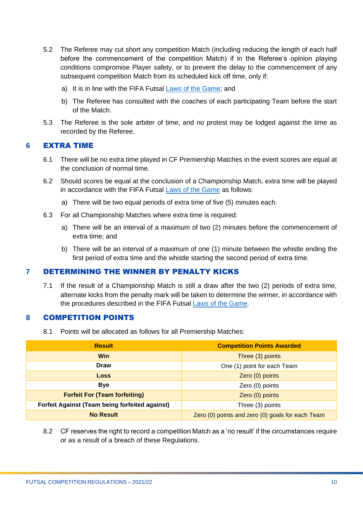- 5.2 The Referee may cut short any competition Match (including reducing the length of each half before the commencement of the competition Match) if in the Referee's opinion playing conditions compromise Player safety, or to prevent the delay to the commencement of any subsequent competition Match from its scheduled kick off time, only if:
	- a) It is in line with the FIFA Futsal [Laws of the Game;](https://digitalhub.fifa.com/m/10690cc74b6dd26d/original/Laws-of-the-game-Futsal-2021.pdf) and
	- b) The Referee has consulted with the coaches of each participating Team before the start of the Match.
- 5.3 The Referee is the sole arbiter of time, and no protest may be lodged against the time as recorded by the Referee.

#### <span id="page-9-0"></span>**6** EXTRA TIME

- 6.1 There will be no extra time played in CF Premiership Matches in the event scores are equal at the conclusion of normal time.
- 6.2 Should scores be equal at the conclusion of a Championship Match, extra time will be played in accordance with the FIFA Futsal [Laws of the Game](https://digitalhub.fifa.com/m/10690cc74b6dd26d/original/Laws-of-the-game-Futsal-2021.pdf) as follows:
	- a) There will be two equal periods of extra time of five (5) minutes each.
- 6.3 For all Championship Matches where extra time is required:
	- a) There will be an interval of a maximum of two (2) minutes before the commencement of extra time; and
	- b) There will be an interval of a maximum of one (1) minute between the whistle ending the first period of extra time and the whistle starting the second period of extra time.

#### <span id="page-9-1"></span>**7** DETERMINING THE WINNER BY PENALTY KICKS

7.1 If the result of a Championship Match is still a draw after the two (2) periods of extra time, alternate kicks from the penalty mark will be taken to determine the winner, in accordance with the procedures described in the FIFA Futsal [Laws of the Game.](https://digitalhub.fifa.com/m/10690cc74b6dd26d/original/Laws-of-the-game-Futsal-2021.pdf)

#### <span id="page-9-2"></span>**8** COMPETITION POINTS

8.1 Points will be allocated as follows for all Premiership Matches:

| <b>Result</b>                                  | <b>Competition Points Awarded</b>                |  |  |
|------------------------------------------------|--------------------------------------------------|--|--|
| <b>Win</b>                                     | Three (3) points                                 |  |  |
| <b>Draw</b>                                    | One (1) point for each Team                      |  |  |
| <b>Loss</b>                                    | Zero (0) points                                  |  |  |
| <b>Bye</b>                                     | Zero (0) points                                  |  |  |
| <b>Forfeit For (Team forfeiting)</b>           | Zero (0) points                                  |  |  |
| Forfeit Against (Team being forfeited against) | Three (3) points                                 |  |  |
| <b>No Result</b>                               | Zero (0) points and zero (0) goals for each Team |  |  |

8.2 CF reserves the right to record a competition Match as a 'no result' if the circumstances require or as a result of a breach of these Regulations.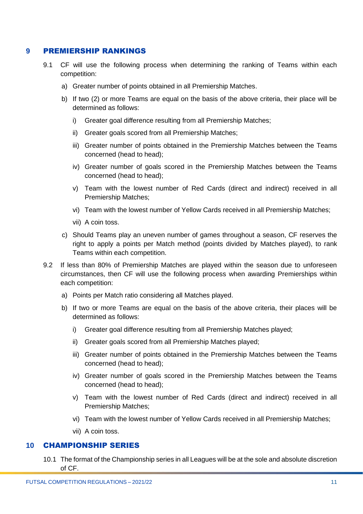#### <span id="page-10-0"></span>**9** PREMIERSHIP RANKINGS

- 9.1 CF will use the following process when determining the ranking of Teams within each competition:
	- a) Greater number of points obtained in all Premiership Matches.
	- b) If two (2) or more Teams are equal on the basis of the above criteria, their place will be determined as follows:
		- i) Greater goal difference resulting from all Premiership Matches;
		- ii) Greater goals scored from all Premiership Matches;
		- iii) Greater number of points obtained in the Premiership Matches between the Teams concerned (head to head);
		- iv) Greater number of goals scored in the Premiership Matches between the Teams concerned (head to head);
		- v) Team with the lowest number of Red Cards (direct and indirect) received in all Premiership Matches;
		- vi) Team with the lowest number of Yellow Cards received in all Premiership Matches;
		- vii) A coin toss.
	- c) Should Teams play an uneven number of games throughout a season, CF reserves the right to apply a points per Match method (points divided by Matches played), to rank Teams within each competition.
- 9.2 If less than 80% of Premiership Matches are played within the season due to unforeseen circumstances, then CF will use the following process when awarding Premierships within each competition:
	- a) Points per Match ratio considering all Matches played.
	- b) If two or more Teams are equal on the basis of the above criteria, their places will be determined as follows:
		- i) Greater goal difference resulting from all Premiership Matches played;
		- ii) Greater goals scored from all Premiership Matches played;
		- iii) Greater number of points obtained in the Premiership Matches between the Teams concerned (head to head);
		- iv) Greater number of goals scored in the Premiership Matches between the Teams concerned (head to head);
		- v) Team with the lowest number of Red Cards (direct and indirect) received in all Premiership Matches;
		- vi) Team with the lowest number of Yellow Cards received in all Premiership Matches;
		- vii) A coin toss.

#### <span id="page-10-1"></span>**10** CHAMPIONSHIP SERIES

10.1 The format of the Championship series in all Leagues will be at the sole and absolute discretion of CF.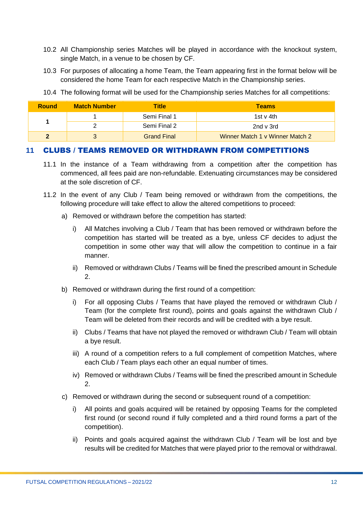- 10.2 All Championship series Matches will be played in accordance with the knockout system, single Match, in a venue to be chosen by CF.
- 10.3 For purposes of allocating a home Team, the Team appearing first in the format below will be considered the home Team for each respective Match in the Championship series.

| <b>Round</b>       | <b>Match Number</b> | Title                           | <b>Teams</b>   |
|--------------------|---------------------|---------------------------------|----------------|
|                    |                     | Semi Final 1                    | 1st v 4th      |
|                    |                     | Semi Final 2                    | 2nd $\vee$ 3rd |
| <b>Grand Final</b> |                     | Winner Match 1 v Winner Match 2 |                |

10.4 The following format will be used for the Championship series Matches for all competitions:

#### <span id="page-11-0"></span>**11** CLUBS / TEAMS REMOVED OR WITHDRAWN FROM COMPETITIONS

- 11.1 In the instance of a Team withdrawing from a competition after the competition has commenced, all fees paid are non-refundable. Extenuating circumstances may be considered at the sole discretion of CF.
- 11.2 In the event of any Club / Team being removed or withdrawn from the competitions, the following procedure will take effect to allow the altered competitions to proceed:
	- a) Removed or withdrawn before the competition has started:
		- i) All Matches involving a Club / Team that has been removed or withdrawn before the competition has started will be treated as a bye, unless CF decides to adjust the competition in some other way that will allow the competition to continue in a fair manner.
		- ii) Removed or withdrawn Clubs / Teams will be fined the prescribed amount in Schedule 2.
	- b) Removed or withdrawn during the first round of a competition:
		- i) For all opposing Clubs / Teams that have played the removed or withdrawn Club / Team (for the complete first round), points and goals against the withdrawn Club / Team will be deleted from their records and will be credited with a bye result.
		- ii) Clubs / Teams that have not played the removed or withdrawn Club / Team will obtain a bye result.
		- iii) A round of a competition refers to a full complement of competition Matches, where each Club / Team plays each other an equal number of times.
		- iv) Removed or withdrawn Clubs / Teams will be fined the prescribed amount in Schedule 2.
	- c) Removed or withdrawn during the second or subsequent round of a competition:
		- i) All points and goals acquired will be retained by opposing Teams for the completed first round (or second round if fully completed and a third round forms a part of the competition).
		- ii) Points and goals acquired against the withdrawn Club / Team will be lost and bye results will be credited for Matches that were played prior to the removal or withdrawal.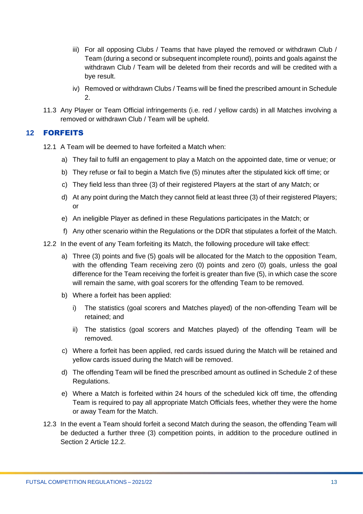- iii) For all opposing Clubs / Teams that have played the removed or withdrawn Club / Team (during a second or subsequent incomplete round), points and goals against the withdrawn Club / Team will be deleted from their records and will be credited with a bye result.
- iv) Removed or withdrawn Clubs / Teams will be fined the prescribed amount in Schedule 2.
- 11.3 Any Player or Team Official infringements (i.e. red / yellow cards) in all Matches involving a removed or withdrawn Club / Team will be upheld.

#### <span id="page-12-0"></span>**12** FORFEITS

- 12.1 A Team will be deemed to have forfeited a Match when:
	- a) They fail to fulfil an engagement to play a Match on the appointed date, time or venue; or
	- b) They refuse or fail to begin a Match five (5) minutes after the stipulated kick off time; or
	- c) They field less than three (3) of their registered Players at the start of any Match; or
	- d) At any point during the Match they cannot field at least three (3) of their registered Players; or
	- e) An ineligible Player as defined in these Regulations participates in the Match; or
	- f) Any other scenario within the Regulations or the DDR that stipulates a forfeit of the Match.
- 12.2 In the event of any Team forfeiting its Match, the following procedure will take effect:
	- a) Three (3) points and five (5) goals will be allocated for the Match to the opposition Team, with the offending Team receiving zero (0) points and zero (0) goals, unless the goal difference for the Team receiving the forfeit is greater than five (5), in which case the score will remain the same, with goal scorers for the offending Team to be removed.
	- b) Where a forfeit has been applied:
		- i) The statistics (goal scorers and Matches played) of the non-offending Team will be retained; and
		- ii) The statistics (goal scorers and Matches played) of the offending Team will be removed.
	- c) Where a forfeit has been applied, red cards issued during the Match will be retained and yellow cards issued during the Match will be removed.
	- d) The offending Team will be fined the prescribed amount as outlined in Schedule 2 of these Regulations.
	- e) Where a Match is forfeited within 24 hours of the scheduled kick off time, the offending Team is required to pay all appropriate Match Officials fees, whether they were the home or away Team for the Match.
- 12.3 In the event a Team should forfeit a second Match during the season, the offending Team will be deducted a further three (3) competition points, in addition to the procedure outlined in Section 2 Article 12.2.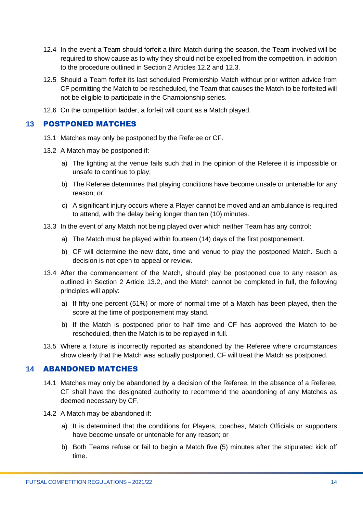- 12.4 In the event a Team should forfeit a third Match during the season, the Team involved will be required to show cause as to why they should not be expelled from the competition, in addition to the procedure outlined in Section 2 Articles 12.2 and 12.3.
- 12.5 Should a Team forfeit its last scheduled Premiership Match without prior written advice from CF permitting the Match to be rescheduled, the Team that causes the Match to be forfeited will not be eligible to participate in the Championship series.
- 12.6 On the competition ladder, a forfeit will count as a Match played.

#### <span id="page-13-0"></span>**13** POSTPONED MATCHES

- 13.1 Matches may only be postponed by the Referee or CF.
- 13.2 A Match may be postponed if:
	- a) The lighting at the venue fails such that in the opinion of the Referee it is impossible or unsafe to continue to play;
	- b) The Referee determines that playing conditions have become unsafe or untenable for any reason; or
	- c) A significant injury occurs where a Player cannot be moved and an ambulance is required to attend, with the delay being longer than ten (10) minutes.
- 13.3 In the event of any Match not being played over which neither Team has any control:
	- a) The Match must be played within fourteen (14) days of the first postponement.
	- b) CF will determine the new date, time and venue to play the postponed Match. Such a decision is not open to appeal or review.
- 13.4 After the commencement of the Match, should play be postponed due to any reason as outlined in Section 2 Article 13.2, and the Match cannot be completed in full, the following principles will apply:
	- a) If fifty-one percent (51%) or more of normal time of a Match has been played, then the score at the time of postponement may stand.
	- b) If the Match is postponed prior to half time and CF has approved the Match to be rescheduled, then the Match is to be replayed in full.
- 13.5 Where a fixture is incorrectly reported as abandoned by the Referee where circumstances show clearly that the Match was actually postponed, CF will treat the Match as postponed.

#### <span id="page-13-1"></span>**14** ABANDONED MATCHES

- 14.1 Matches may only be abandoned by a decision of the Referee. In the absence of a Referee, CF shall have the designated authority to recommend the abandoning of any Matches as deemed necessary by CF.
- 14.2 A Match may be abandoned if:
	- a) It is determined that the conditions for Players, coaches, Match Officials or supporters have become unsafe or untenable for any reason; or
	- b) Both Teams refuse or fail to begin a Match five (5) minutes after the stipulated kick off time.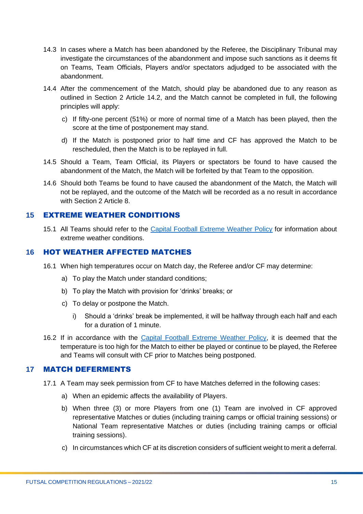- 14.3 In cases where a Match has been abandoned by the Referee, the Disciplinary Tribunal may investigate the circumstances of the abandonment and impose such sanctions as it deems fit on Teams, Team Officials, Players and/or spectators adjudged to be associated with the abandonment.
- 14.4 After the commencement of the Match, should play be abandoned due to any reason as outlined in Section 2 Article 14.2, and the Match cannot be completed in full, the following principles will apply:
	- c) If fifty-one percent (51%) or more of normal time of a Match has been played, then the score at the time of postponement may stand.
	- d) If the Match is postponed prior to half time and CF has approved the Match to be rescheduled, then the Match is to be replayed in full.
- 14.5 Should a Team, Team Official, its Players or spectators be found to have caused the abandonment of the Match, the Match will be forfeited by that Team to the opposition.
- 14.6 Should both Teams be found to have caused the abandonment of the Match, the Match will not be replayed, and the outcome of the Match will be recorded as a no result in accordance with Section 2 Article 8

#### <span id="page-14-0"></span>**15** EXTREME WEATHER CONDITIONS

15.1 All Teams should refer to the [Capital Football Extreme Weather Policy](https://capitalfootball.com.au/wp-content/uploads/2018/03/20180302-PLC-2018-Extreme-Weather-Policy-FINAL.pdf) for information about extreme weather conditions.

#### <span id="page-14-1"></span>**16** HOT WEATHER AFFECTED MATCHES

- 16.1 When high temperatures occur on Match day, the Referee and/or CF may determine:
	- a) To play the Match under standard conditions;
	- b) To play the Match with provision for 'drinks' breaks; or
	- c) To delay or postpone the Match.
		- i) Should a 'drinks' break be implemented, it will be halfway through each half and each for a duration of 1 minute.
- 16.2 If in accordance with the [Capital Football Extreme Weather Policy,](https://capitalfootball.com.au/wp-content/uploads/2018/03/20180302-PLC-2018-Extreme-Weather-Policy-FINAL.pdf) it is deemed that the temperature is too high for the Match to either be played or continue to be played, the Referee and Teams will consult with CF prior to Matches being postponed.

#### <span id="page-14-2"></span>**17** MATCH DEFERMENTS

- 17.1 A Team may seek permission from CF to have Matches deferred in the following cases:
	- a) When an epidemic affects the availability of Players.
	- b) When three (3) or more Players from one (1) Team are involved in CF approved representative Matches or duties (including training camps or official training sessions) or National Team representative Matches or duties (including training camps or official training sessions).
	- c) In circumstances which CF at its discretion considers of sufficient weight to merit a deferral.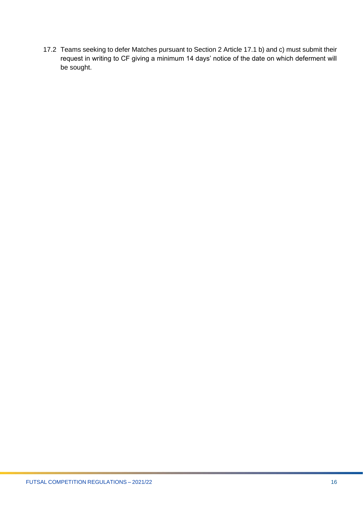17.2 Teams seeking to defer Matches pursuant to Section 2 Article 17.1 b) and c) must submit their request in writing to CF giving a minimum 14 days' notice of the date on which deferment will be sought.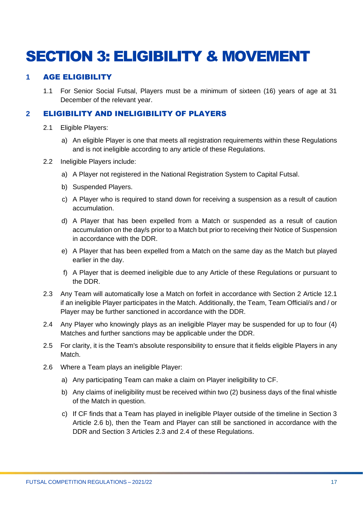### <span id="page-16-0"></span>SECTION 3: ELIGIBILITY & MOVEMENT

#### <span id="page-16-1"></span>**1** AGE ELIGIBILITY

1.1 For Senior Social Futsal, Players must be a minimum of sixteen (16) years of age at 31 December of the relevant year.

#### <span id="page-16-2"></span>**2** ELIGIBILITY AND INELIGIBILITY OF PLAYERS

- 2.1 Eligible Players:
	- a) An eligible Player is one that meets all registration requirements within these Regulations and is not ineligible according to any article of these Regulations.
- 2.2 Ineligible Players include:
	- a) A Player not registered in the National Registration System to Capital Futsal.
	- b) Suspended Players.
	- c) A Player who is required to stand down for receiving a suspension as a result of caution accumulation.
	- d) A Player that has been expelled from a Match or suspended as a result of caution accumulation on the day/s prior to a Match but prior to receiving their Notice of Suspension in accordance with the DDR.
	- e) A Player that has been expelled from a Match on the same day as the Match but played earlier in the day.
	- f) A Player that is deemed ineligible due to any Article of these Regulations or pursuant to the DDR.
- 2.3 Any Team will automatically lose a Match on forfeit in accordance with Section 2 Article 12.1 if an ineligible Player participates in the Match. Additionally, the Team, Team Official/s and / or Player may be further sanctioned in accordance with the DDR.
- 2.4 Any Player who knowingly plays as an ineligible Player may be suspended for up to four (4) Matches and further sanctions may be applicable under the DDR.
- 2.5 For clarity, it is the Team's absolute responsibility to ensure that it fields eligible Players in any Match.
- 2.6 Where a Team plays an ineligible Player:
	- a) Any participating Team can make a claim on Player ineligibility to CF.
	- b) Any claims of ineligibility must be received within two (2) business days of the final whistle of the Match in question.
	- c) If CF finds that a Team has played in ineligible Player outside of the timeline in Section 3 Article 2.6 b), then the Team and Player can still be sanctioned in accordance with the DDR and Section 3 Articles 2.3 and 2.4 of these Regulations.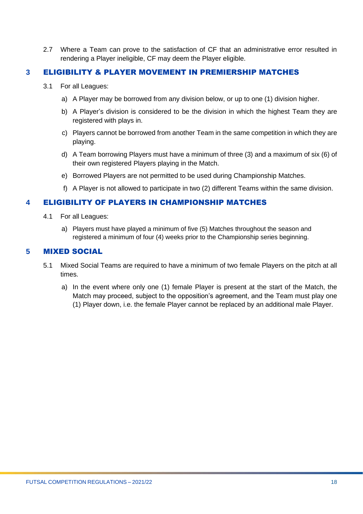2.7 Where a Team can prove to the satisfaction of CF that an administrative error resulted in rendering a Player ineligible, CF may deem the Player eligible.

#### <span id="page-17-0"></span>**3** ELIGIBILITY & PLAYER MOVEMENT IN PREMIERSHIP MATCHES

- 3.1 For all Leagues:
	- a) A Player may be borrowed from any division below, or up to one (1) division higher.
	- b) A Player's division is considered to be the division in which the highest Team they are registered with plays in.
	- c) Players cannot be borrowed from another Team in the same competition in which they are playing.
	- d) A Team borrowing Players must have a minimum of three (3) and a maximum of six (6) of their own registered Players playing in the Match.
	- e) Borrowed Players are not permitted to be used during Championship Matches.
	- f) A Player is not allowed to participate in two (2) different Teams within the same division.

#### <span id="page-17-1"></span>**4** ELIGIBILITY OF PLAYERS IN CHAMPIONSHIP MATCHES

- 4.1 For all Leagues:
	- a) Players must have played a minimum of five (5) Matches throughout the season and registered a minimum of four (4) weeks prior to the Championship series beginning.

#### <span id="page-17-2"></span>**5** MIXED SOCIAL

- 5.1 Mixed Social Teams are required to have a minimum of two female Players on the pitch at all times.
	- a) In the event where only one (1) female Player is present at the start of the Match, the Match may proceed, subject to the opposition's agreement, and the Team must play one (1) Player down, i.e. the female Player cannot be replaced by an additional male Player.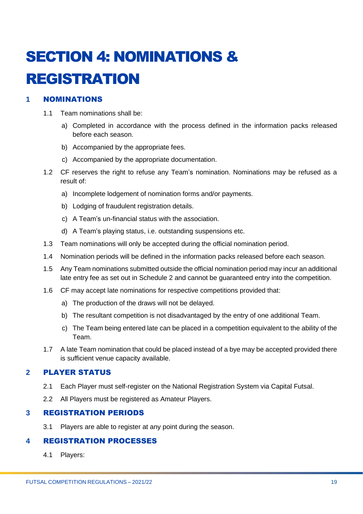## <span id="page-18-0"></span>SECTION 4: NOMINATIONS & REGISTRATION

#### <span id="page-18-1"></span>**1** NOMINATIONS

- 1.1 Team nominations shall be:
	- a) Completed in accordance with the process defined in the information packs released before each season.
	- b) Accompanied by the appropriate fees.
	- c) Accompanied by the appropriate documentation.
- 1.2 CF reserves the right to refuse any Team's nomination. Nominations may be refused as a result of:
	- a) Incomplete lodgement of nomination forms and/or payments.
	- b) Lodging of fraudulent registration details.
	- c) A Team's un-financial status with the association.
	- d) A Team's playing status, i.e. outstanding suspensions etc.
- 1.3 Team nominations will only be accepted during the official nomination period.
- 1.4 Nomination periods will be defined in the information packs released before each season.
- 1.5 Any Team nominations submitted outside the official nomination period may incur an additional late entry fee as set out in Schedule 2 and cannot be guaranteed entry into the competition.
- 1.6 CF may accept late nominations for respective competitions provided that:
	- a) The production of the draws will not be delayed.
	- b) The resultant competition is not disadvantaged by the entry of one additional Team.
	- c) The Team being entered late can be placed in a competition equivalent to the ability of the Team.
- 1.7 A late Team nomination that could be placed instead of a bye may be accepted provided there is sufficient venue capacity available.

#### <span id="page-18-2"></span>**2** PLAYER STATUS

- 2.1 Each Player must self-register on the National Registration System via Capital Futsal.
- 2.2 All Players must be registered as Amateur Players.

#### <span id="page-18-3"></span>**3** REGISTRATION PERIODS

3.1 Players are able to register at any point during the season.

#### <span id="page-18-4"></span>**4** REGISTRATION PROCESSES

4.1 Players: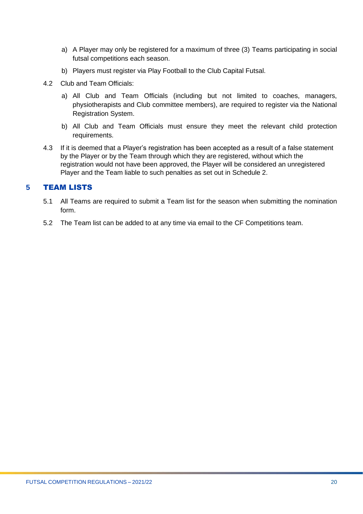- a) A Player may only be registered for a maximum of three (3) Teams participating in social futsal competitions each season.
- b) Players must register via Play Football to the Club Capital Futsal.
- 4.2 Club and Team Officials:
	- a) All Club and Team Officials (including but not limited to coaches, managers, physiotherapists and Club committee members), are required to register via the National Registration System.
	- b) All Club and Team Officials must ensure they meet the relevant child protection requirements.
- 4.3 If it is deemed that a Player's registration has been accepted as a result of a false statement by the Player or by the Team through which they are registered, without which the registration would not have been approved, the Player will be considered an unregistered Player and the Team liable to such penalties as set out in Schedule 2.

#### <span id="page-19-0"></span>**5** TEAM LISTS

- 5.1 All Teams are required to submit a Team list for the season when submitting the nomination form.
- 5.2 The Team list can be added to at any time via email to the CF Competitions team.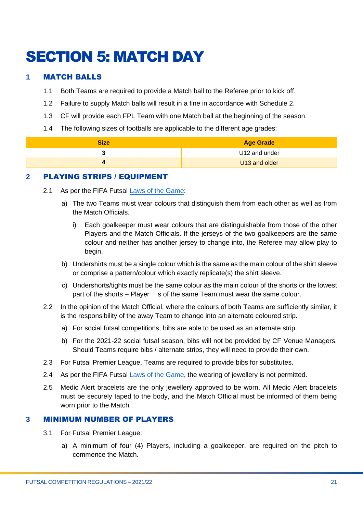### <span id="page-20-0"></span>SECTION 5: MATCH DAY

#### <span id="page-20-1"></span>**1** MATCH BALLS

- 1.1 Both Teams are required to provide a Match ball to the Referee prior to kick off.
- 1.2 Failure to supply Match balls will result in a fine in accordance with Schedule 2.
- 1.3 CF will provide each FPL Team with one Match ball at the beginning of the season.
- 1.4 The following sizes of footballs are applicable to the different age grades:

| <b>Size</b> | <b>Age Grade</b> |  |
|-------------|------------------|--|
|             | U12 and under    |  |
|             | U13 and older    |  |

#### <span id="page-20-2"></span>**2** PLAYING STRIPS / EQUIPMENT

- 2.1 As per the FIFA Futsal [Laws of the Game:](https://digitalhub.fifa.com/m/10690cc74b6dd26d/original/Laws-of-the-game-Futsal-2021.pdf)
	- a) The two Teams must wear colours that distinguish them from each other as well as from the Match Officials.
		- i) Each goalkeeper must wear colours that are distinguishable from those of the other Players and the Match Officials. If the jerseys of the two goalkeepers are the same colour and neither has another jersey to change into, the Referee may allow play to begin.
	- b) Undershirts must be a single colour which is the same as the main colour of the shirt sleeve or comprise a pattern/colour which exactly replicate(s) the shirt sleeve.
	- c) Undershorts/tights must be the same colour as the main colour of the shorts or the lowest part of the shorts – Player s of the same Team must wear the same colour.
- 2.2 In the opinion of the Match Official, where the colours of both Teams are sufficiently similar, it is the responsibility of the away Team to change into an alternate coloured strip.
	- a) For social futsal competitions, bibs are able to be used as an alternate strip.
	- b) For the 2021-22 social futsal season, bibs will not be provided by CF Venue Managers. Should Teams require bibs / alternate strips, they will need to provide their own.
- 2.3 For Futsal Premier League, Teams are required to provide bibs for substitutes.
- 2.4 As per the FIFA Futsal [Laws of the Game,](https://digitalhub.fifa.com/m/10690cc74b6dd26d/original/Laws-of-the-game-Futsal-2021.pdf) the wearing of jewellery is not permitted.
- 2.5 Medic Alert bracelets are the only jewellery approved to be worn. All Medic Alert bracelets must be securely taped to the body, and the Match Official must be informed of them being worn prior to the Match.

#### <span id="page-20-3"></span>**3** MINIMUM NUMBER OF PLAYERS

- 3.1 For Futsal Premier League:
	- a) A minimum of four (4) Players, including a goalkeeper, are required on the pitch to commence the Match.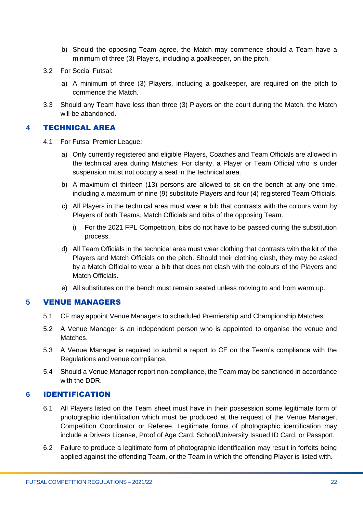- b) Should the opposing Team agree, the Match may commence should a Team have a minimum of three (3) Players, including a goalkeeper, on the pitch.
- 3.2 For Social Futsal:
	- a) A minimum of three (3) Players, including a goalkeeper, are required on the pitch to commence the Match.
- 3.3 Should any Team have less than three (3) Players on the court during the Match, the Match will be abandoned.

#### <span id="page-21-0"></span>**4** TECHNICAL AREA

- 4.1 For Futsal Premier League:
	- a) Only currently registered and eligible Players, Coaches and Team Officials are allowed in the technical area during Matches. For clarity, a Player or Team Official who is under suspension must not occupy a seat in the technical area.
	- b) A maximum of thirteen (13) persons are allowed to sit on the bench at any one time, including a maximum of nine (9) substitute Players and four (4) registered Team Officials.
	- c) All Players in the technical area must wear a bib that contrasts with the colours worn by Players of both Teams, Match Officials and bibs of the opposing Team.
		- i) For the 2021 FPL Competition, bibs do not have to be passed during the substitution process.
	- d) All Team Officials in the technical area must wear clothing that contrasts with the kit of the Players and Match Officials on the pitch. Should their clothing clash, they may be asked by a Match Official to wear a bib that does not clash with the colours of the Players and Match Officials.
	- e) All substitutes on the bench must remain seated unless moving to and from warm up.

#### <span id="page-21-1"></span>**5** VENUE MANAGERS

- 5.1 CF may appoint Venue Managers to scheduled Premiership and Championship Matches.
- 5.2 A Venue Manager is an independent person who is appointed to organise the venue and Matches.
- 5.3 A Venue Manager is required to submit a report to CF on the Team's compliance with the Regulations and venue compliance.
- 5.4 Should a Venue Manager report non-compliance, the Team may be sanctioned in accordance with the DDR

#### <span id="page-21-2"></span>**6** IDENTIFICATION

- 6.1 All Players listed on the Team sheet must have in their possession some legitimate form of photographic identification which must be produced at the request of the Venue Manager, Competition Coordinator or Referee. Legitimate forms of photographic identification may include a Drivers License, Proof of Age Card, School/University Issued ID Card, or Passport.
- 6.2 Failure to produce a legitimate form of photographic identification may result in forfeits being applied against the offending Team, or the Team in which the offending Player is listed with.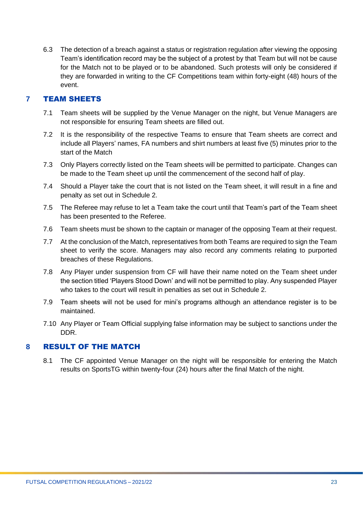6.3 The detection of a breach against a status or registration regulation after viewing the opposing Team's identification record may be the subject of a protest by that Team but will not be cause for the Match not to be played or to be abandoned. Such protests will only be considered if they are forwarded in writing to the CF Competitions team within forty-eight (48) hours of the event.

#### <span id="page-22-0"></span>**7** TEAM SHEETS

- 7.1 Team sheets will be supplied by the Venue Manager on the night, but Venue Managers are not responsible for ensuring Team sheets are filled out.
- 7.2 It is the responsibility of the respective Teams to ensure that Team sheets are correct and include all Players' names, FA numbers and shirt numbers at least five (5) minutes prior to the start of the Match
- 7.3 Only Players correctly listed on the Team sheets will be permitted to participate. Changes can be made to the Team sheet up until the commencement of the second half of play.
- 7.4 Should a Player take the court that is not listed on the Team sheet, it will result in a fine and penalty as set out in Schedule 2.
- 7.5 The Referee may refuse to let a Team take the court until that Team's part of the Team sheet has been presented to the Referee.
- 7.6 Team sheets must be shown to the captain or manager of the opposing Team at their request.
- 7.7 At the conclusion of the Match, representatives from both Teams are required to sign the Team sheet to verify the score. Managers may also record any comments relating to purported breaches of these Regulations.
- 7.8 Any Player under suspension from CF will have their name noted on the Team sheet under the section titled 'Players Stood Down' and will not be permitted to play. Any suspended Player who takes to the court will result in penalties as set out in Schedule 2.
- 7.9 Team sheets will not be used for mini's programs although an attendance register is to be maintained.
- 7.10 Any Player or Team Official supplying false information may be subject to sanctions under the DDR.

#### <span id="page-22-1"></span>**8** RESULT OF THE MATCH

8.1 The CF appointed Venue Manager on the night will be responsible for entering the Match results on SportsTG within twenty-four (24) hours after the final Match of the night.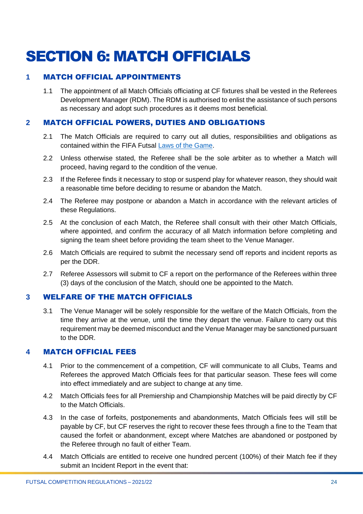### <span id="page-23-0"></span>SECTION 6: MATCH OFFICIALS

#### <span id="page-23-1"></span>**1** MATCH OFFICIAL APPOINTMENTS

1.1 The appointment of all Match Officials officiating at CF fixtures shall be vested in the Referees Development Manager (RDM). The RDM is authorised to enlist the assistance of such persons as necessary and adopt such procedures as it deems most beneficial.

#### <span id="page-23-2"></span>**2** MATCH OFFICIAL POWERS, DUTIES AND OBLIGATIONS

- 2.1 The Match Officials are required to carry out all duties, responsibilities and obligations as contained within the FIFA Futsal [Laws of the Game.](https://digitalhub.fifa.com/m/10690cc74b6dd26d/original/Laws-of-the-game-Futsal-2021.pdf)
- 2.2 Unless otherwise stated, the Referee shall be the sole arbiter as to whether a Match will proceed, having regard to the condition of the venue.
- 2.3 If the Referee finds it necessary to stop or suspend play for whatever reason, they should wait a reasonable time before deciding to resume or abandon the Match.
- 2.4 The Referee may postpone or abandon a Match in accordance with the relevant articles of these Regulations.
- 2.5 At the conclusion of each Match, the Referee shall consult with their other Match Officials, where appointed, and confirm the accuracy of all Match information before completing and signing the team sheet before providing the team sheet to the Venue Manager.
- 2.6 Match Officials are required to submit the necessary send off reports and incident reports as per the DDR.
- 2.7 Referee Assessors will submit to CF a report on the performance of the Referees within three (3) days of the conclusion of the Match, should one be appointed to the Match.

#### <span id="page-23-3"></span>**3** WELFARE OF THE MATCH OFFICIALS

3.1 The Venue Manager will be solely responsible for the welfare of the Match Officials, from the time they arrive at the venue, until the time they depart the venue. Failure to carry out this requirement may be deemed misconduct and the Venue Manager may be sanctioned pursuant to the DDR.

#### <span id="page-23-4"></span>**4** MATCH OFFICIAL FEES

- 4.1 Prior to the commencement of a competition, CF will communicate to all Clubs, Teams and Referees the approved Match Officials fees for that particular season. These fees will come into effect immediately and are subject to change at any time.
- 4.2 Match Officials fees for all Premiership and Championship Matches will be paid directly by CF to the Match Officials.
- 4.3 In the case of forfeits, postponements and abandonments, Match Officials fees will still be payable by CF, but CF reserves the right to recover these fees through a fine to the Team that caused the forfeit or abandonment, except where Matches are abandoned or postponed by the Referee through no fault of either Team.
- 4.4 Match Officials are entitled to receive one hundred percent (100%) of their Match fee if they submit an Incident Report in the event that: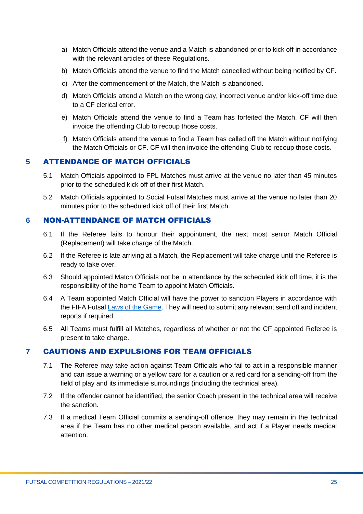- a) Match Officials attend the venue and a Match is abandoned prior to kick off in accordance with the relevant articles of these Regulations.
- b) Match Officials attend the venue to find the Match cancelled without being notified by CF.
- c) After the commencement of the Match, the Match is abandoned.
- d) Match Officials attend a Match on the wrong day, incorrect venue and/or kick-off time due to a CF clerical error.
- e) Match Officials attend the venue to find a Team has forfeited the Match. CF will then invoice the offending Club to recoup those costs.
- f) Match Officials attend the venue to find a Team has called off the Match without notifying the Match Officials or CF. CF will then invoice the offending Club to recoup those costs.

#### <span id="page-24-0"></span>**5** ATTENDANCE OF MATCH OFFICIALS

- 5.1 Match Officials appointed to FPL Matches must arrive at the venue no later than 45 minutes prior to the scheduled kick off of their first Match.
- 5.2 Match Officials appointed to Social Futsal Matches must arrive at the venue no later than 20 minutes prior to the scheduled kick off of their first Match.

#### <span id="page-24-1"></span>**6** NON-ATTENDANCE OF MATCH OFFICIALS

- 6.1 If the Referee fails to honour their appointment, the next most senior Match Official (Replacement) will take charge of the Match.
- 6.2 If the Referee is late arriving at a Match, the Replacement will take charge until the Referee is ready to take over.
- 6.3 Should appointed Match Officials not be in attendance by the scheduled kick off time, it is the responsibility of the home Team to appoint Match Officials.
- 6.4 A Team appointed Match Official will have the power to sanction Players in accordance with the FIFA Futsal [Laws of the Game.](https://digitalhub.fifa.com/m/10690cc74b6dd26d/original/Laws-of-the-game-Futsal-2021.pdf) They will need to submit any relevant send off and incident reports if required.
- 6.5 All Teams must fulfill all Matches, regardless of whether or not the CF appointed Referee is present to take charge.

#### <span id="page-24-2"></span>**7** CAUTIONS AND EXPULSIONS FOR TEAM OFFICIALS

- 7.1 The Referee may take action against Team Officials who fail to act in a responsible manner and can issue a warning or a yellow card for a caution or a red card for a sending-off from the field of play and its immediate surroundings (including the technical area).
- 7.2 If the offender cannot be identified, the senior Coach present in the technical area will receive the sanction.
- 7.3 If a medical Team Official commits a sending-off offence, they may remain in the technical area if the Team has no other medical person available, and act if a Player needs medical attention.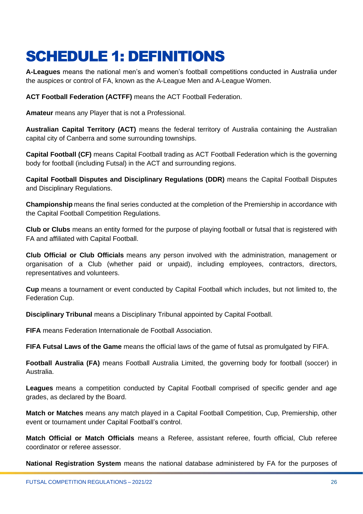### <span id="page-25-0"></span>SCHEDULE 1: DEFINITIONS

**A-Leagues** means the national men's and women's football competitions conducted in Australia under the auspices or control of FA, known as the A-League Men and A-League Women.

**ACT Football Federation (ACTFF)** means the ACT Football Federation.

**Amateur** means any Player that is not a Professional.

**Australian Capital Territory (ACT)** means the federal territory of Australia containing the Australian capital city of Canberra and some surrounding townships.

**Capital Football (CF)** means Capital Football trading as ACT Football Federation which is the governing body for football (including Futsal) in the ACT and surrounding regions.

**Capital Football Disputes and Disciplinary Regulations (DDR)** means the Capital Football Disputes and Disciplinary Regulations.

**Championship** means the final series conducted at the completion of the Premiership in accordance with the Capital Football Competition Regulations.

**Club or Clubs** means an entity formed for the purpose of playing football or futsal that is registered with FA and affiliated with Capital Football.

**Club Official or Club Officials** means any person involved with the administration, management or organisation of a Club (whether paid or unpaid), including employees, contractors, directors, representatives and volunteers.

**Cup** means a tournament or event conducted by Capital Football which includes, but not limited to, the Federation Cup.

**Disciplinary Tribunal** means a Disciplinary Tribunal appointed by Capital Football.

**FIFA** means Federation Internationale de Football Association.

**FIFA Futsal Laws of the Game** means the official laws of the game of futsal as promulgated by FIFA.

**Football Australia (FA)** means Football Australia Limited, the governing body for football (soccer) in Australia.

**Leagues** means a competition conducted by Capital Football comprised of specific gender and age grades, as declared by the Board.

**Match or Matches** means any match played in a Capital Football Competition, Cup, Premiership, other event or tournament under Capital Football's control.

**Match Official or Match Officials** means a Referee, assistant referee, fourth official, Club referee coordinator or referee assessor.

**National Registration System** means the national database administered by FA for the purposes of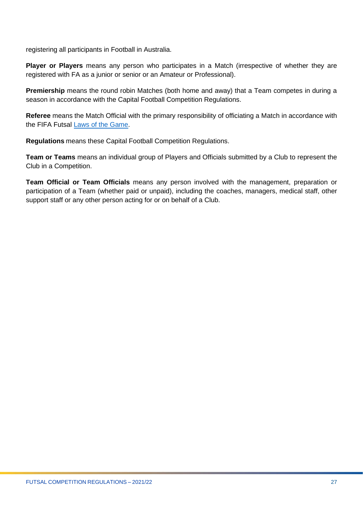registering all participants in Football in Australia.

**Player or Players** means any person who participates in a Match (irrespective of whether they are registered with FA as a junior or senior or an Amateur or Professional).

**Premiership** means the round robin Matches (both home and away) that a Team competes in during a season in accordance with the Capital Football Competition Regulations.

**Referee** means the Match Official with the primary responsibility of officiating a Match in accordance with the FIFA Futsal [Laws of the Game.](https://digitalhub.fifa.com/m/10690cc74b6dd26d/original/Laws-of-the-game-Futsal-2021.pdf)

**Regulations** means these Capital Football Competition Regulations.

**Team or Teams** means an individual group of Players and Officials submitted by a Club to represent the Club in a Competition.

**Team Official or Team Officials** means any person involved with the management, preparation or participation of a Team (whether paid or unpaid), including the coaches, managers, medical staff, other support staff or any other person acting for or on behalf of a Club.